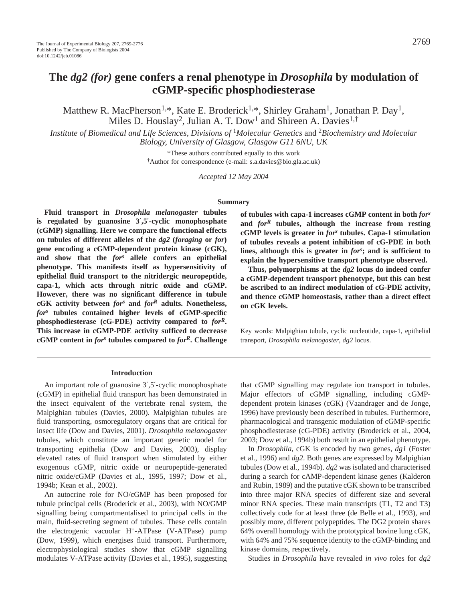# **The** *dg2 (for)* **gene confers a renal phenotype in** *Drosophila* **by modulation of cGMP-specific phosphodiesterase**

Matthew R. MacPherson<sup>1,\*</sup>, Kate E. Broderick<sup>1,\*</sup>, Shirley Graham<sup>1</sup>, Jonathan P. Day<sup>1</sup>, Miles D. Houslay<sup>2</sup>, Julian A. T. Dow<sup>1</sup> and Shireen A. Davies<sup>1,†</sup>

*Institute of Biomedical and Life Sciences, Divisions of* 1*Molecular Genetics* and <sup>2</sup>*Biochemistry and Molecular Biology, University of Glasgow, Glasgow G11 6NU, UK*

> \*These authors contributed equally to this work †Author for correspondence (e-mail: s.a.davies@bio.gla.ac.uk)

> > *Accepted 12 May 2004*

#### **Summary**

**Fluid transport in** *Drosophila melanogaster* **tubules is regulated by guanosine 3**′**,5**′**-cyclic monophosphate (cGMP) signalling. Here we compare the functional effects on tubules of different alleles of the** *dg2* **(***foraging* **or** *for***) gene encoding a cGMP-dependent protein kinase (cGK), and show that the** *for<sup>s</sup>* **allele confers an epithelial phenotype. This manifests itself as hypersensitivity of epithelial fluid transport to the nitridergic neuropeptide, capa-1, which acts through nitric oxide and cGMP. However, there was no significant difference in tubule cGK activity between** *fors* **and** *for<sup>R</sup>* **adults. Nonetheless,** *fors* **tubules contained higher levels of cGMP-specific phosphodiesterase (cG-PDE) activity compared to** *forR***. This increase in cGMP-PDE activity sufficed to decrease cGMP content in** *for<sup>s</sup>* **tubules compared to** *forR***. Challenge**

#### **Introduction**

An important role of guanosine 3′,5′-cyclic monophosphate (cGMP) in epithelial fluid transport has been demonstrated in the insect equivalent of the vertebrate renal system, the Malpighian tubules (Davies, 2000). Malpighian tubules are fluid transporting, osmoregulatory organs that are critical for insect life (Dow and Davies, 2001). *Drosophila melanogaster* tubules, which constitute an important genetic model for transporting epithelia (Dow and Davies, 2003), display elevated rates of fluid transport when stimulated by either exogenous cGMP, nitric oxide or neuropeptide-generated nitric oxide/cGMP (Davies et al., 1995, 1997; Dow et al., 1994b; Kean et al., 2002).

An autocrine role for NO/cGMP has been proposed for tubule principal cells (Broderick et al., 2003), with NO/GMP signalling being compartmentalised to principal cells in the main, fluid-secreting segment of tubules. These cells contain the electrogenic vacuolar H+-ATPase (V-ATPase) pump (Dow, 1999), which energises fluid transport. Furthermore, electrophysiological studies show that cGMP signalling modulates V-ATPase activity (Davies et al., 1995), suggesting

**of tubules with capa-1 increases cGMP content in both** *for<sup>s</sup>* **and** *for<sup>R</sup>* **tubules, although the increase from resting cGMP levels is greater in** *fors* **tubules. Capa-1 stimulation of tubules reveals a potent inhibition of cG-PDE in both lines, although this is greater in** *for<sup>s</sup>* **; and is sufficient to explain the hypersensitive transport phenotype observed.**

**Thus, polymorphisms at the** *dg2* **locus do indeed confer a cGMP-dependent transport phenotype, but this can best be ascribed to an indirect modulation of cG-PDE activity, and thence cGMP homeostasis, rather than a direct effect on cGK levels.**

Key words: Malpighian tubule, cyclic nucleotide, capa-1, epithelial transport, *Drosophila melanogaster*, *dg2* locus.

that cGMP signalling may regulate ion transport in tubules. Major effectors of cGMP signalling, including cGMPdependent protein kinases (cGK) (Vaandrager and de Jonge, 1996) have previously been described in tubules. Furthermore, pharmacological and transgenic modulation of cGMP-specific phosphodiesterase (cG-PDE) activity (Broderick et al., 2004, 2003; Dow et al., 1994b) both result in an epithelial phenotype.

In *Drosophila*, cGK is encoded by two genes, *dg1* (Foster et al., 1996) and *dg2*. Both genes are expressed by Malpighian tubules (Dow et al., 1994b). *dg2* was isolated and characterised during a search for cAMP-dependent kinase genes (Kalderon and Rubin, 1989) and the putative cGK shown to be transcribed into three major RNA species of different size and several minor RNA species. These main transcripts (T1, T2 and T3) collectively code for at least three (de Belle et al., 1993), and possibly more, different polypeptides. The DG2 protein shares 64% overall homology with the prototypical bovine lung cGK, with 64% and 75% sequence identity to the cGMP-binding and kinase domains, respectively.

Studies in *Drosophila* have revealed *in vivo* roles for *dg2*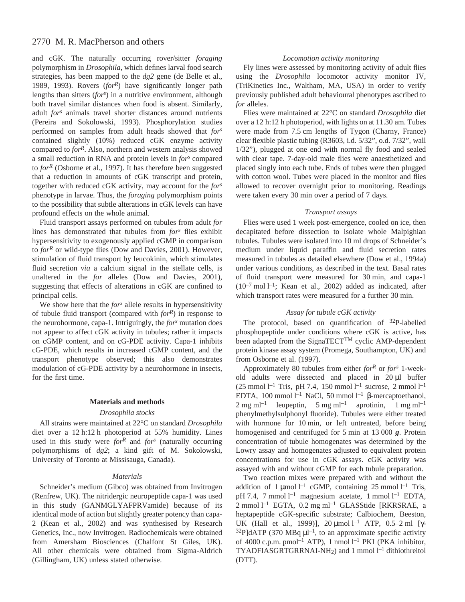# 2770 M. R. MacPherson and others

and cGK. The naturally occurring rover/sitter *foraging* polymorphism in *Drosophila*, which defines larval food search strategies, has been mapped to the *dg2* gene (de Belle et al., 1989, 1993). Rovers (*forR*) have significantly longer path lengths than sitters (*fors* ) in a nutritive environment, although both travel similar distances when food is absent. Similarly, adult *fors* animals travel shorter distances around nutrients (Pereira and Sokolowski, 1993). Phosphorylation studies performed on samples from adult heads showed that *fors* contained slightly (10%) reduced cGK enzyme activity compared to *forR*. Also, northern and western analysis showed a small reduction in RNA and protein levels in *for<sup>s</sup>* compared to *forR* (Osborne et al., 1997). It has therefore been suggested that a reduction in amounts of cGK transcript and protein, together with reduced cGK activity, may account for the *fors* phenotype in larvae. Thus, the *foraging* polymorphism points to the possibility that subtle alterations in cGK levels can have profound effects on the whole animal.

Fluid transport assays performed on tubules from adult *for* lines has demonstrated that tubules from *for<sup>s</sup>* flies exhibit hypersensitivity to exogenously applied cGMP in comparison to *for<sup>R</sup>* or wild-type flies (Dow and Davies, 2001). However, stimulation of fluid transport by leucokinin, which stimulates fluid secretion *via* a calcium signal in the stellate cells, is unaltered in the *for* alleles (Dow and Davies, 2001), suggesting that effects of alterations in cGK are confined to principal cells.

We show here that the *fors* allele results in hypersensitivity of tubule fluid transport (compared with *forR*) in response to the neurohormone, capa-1. Intriguingly, the *fors* mutation does not appear to affect cGK activity in tubules; rather it impacts on cGMP content, and on cG-PDE activity. Capa-1 inhibits cG-PDE, which results in increased cGMP content, and the transport phenotype observed; this also demonstrates modulation of cG-PDE activity by a neurohormone in insects, for the first time.

### **Materials and methods**

#### *Drosophila stocks*

All strains were maintained at 22°C on standard *Drosophila* diet over a 12 h:12 h photoperiod at 55% humidity. Lines used in this study were *for<sup>R</sup>* and *fors* (naturally occurring polymorphisms of *dg2*; a kind gift of M. Sokolowski, University of Toronto at Missisauga, Canada).

#### *Materials*

Schneider's medium (Gibco) was obtained from Invitrogen (Renfrew, UK). The nitridergic neuropeptide capa-1 was used in this study (GANMGLYAFPRVamide) because of its identical mode of action but slightly greater potency than capa-2 (Kean et al., 2002) and was synthesised by Research Genetics, Inc., now Invitrogen. Radiochemicals were obtained from Amersham Biosciences (Chalfont St Giles, UK). All other chemicals were obtained from Sigma-Aldrich (Gillingham, UK) unless stated otherwise.

## *Locomotion activity monitoring*

Fly lines were assessed by monitoring activity of adult flies using the *Drosophila* locomotor activity monitor IV, (TriKinetics Inc., Waltham, MA, USA) in order to verify previously published adult behavioural phenotypes ascribed to *for* alleles.

Flies were maintained at 22°C on standard *Drosophila* diet over a 12 h:12 h photoperiod, with lights on at 11.30 am. Tubes were made from 7.5 cm lengths of Tygon (Charny, France) clear flexible plastic tubing (R3603, i.d. 5/32", o.d. 7/32", wall 1/32"), plugged at one end with normal fly food and sealed with clear tape. 7-day-old male flies were anaesthetized and placed singly into each tube. Ends of tubes were then plugged with cotton wool. Tubes were placed in the monitor and flies allowed to recover overnight prior to monitoring. Readings were taken every 30 min over a period of 7 days.

### *Transport assays*

Flies were used 1 week post-emergence, cooled on ice, then decapitated before dissection to isolate whole Malpighian tubules. Tubules were isolated into 10 ml drops of Schneider's medium under liquid paraffin and fluid secretion rates measured in tubules as detailed elsewhere (Dow et al., 1994a) under various conditions, as described in the text. Basal rates of fluid transport were measured for 30 min, and capa-1  $(10^{-7} \text{ mol } l^{-1})$ ; Kean et al., 2002) added as indicated, after which transport rates were measured for a further 30 min.

#### *Assay for tubule cGK activity*

The protocol, based on quantification of <sup>32</sup>P-labelled phosphopeptide under conditions where cGK is active, has been adapted from the SignaTECT<sup>TM</sup> cyclic AMP-dependent protein kinase assay system (Promega, Southampton, UK) and from Osborne et al. (1997).

Approximately 80 tubules from either *forR* or *fors* 1-weekold adults were dissected and placed in  $20 \mu l$  buffer  $(25 \text{ mmol } l^{-1} \text{ Tris, pH } 7.4, 150 \text{ mmol } l^{-1} \text{ sucrose, } 2 \text{ mmol } l^{-1}$ EDTA, 100 mmol<sup>-1</sup> NaCl, 50 mmol<sup>-1</sup> β-mercaptoethanol,  $2 \text{ mg ml}^{-1}$  leupeptin,  $5 \text{ mg ml}^{-1}$  aprotinin,  $1 \text{ mg ml}^{-1}$ phenylmethylsulphonyl fluoride). Tubules were either treated with hormone for 10 min, or left untreated, before being homogenised and centrifuged for 5 min at 13 000 **g**. Protein concentration of tubule homogenates was determined by the Lowry assay and homogenates adjusted to equivalent protein concentrations for use in cGK assays. cGK activity was assayed with and without cGMP for each tubule preparation.

Two reaction mixes were prepared with and without the addition of  $1 \mu$ mol l<sup>-1</sup> cGMP, containing 25 mmol l<sup>-1</sup> Tris, pH 7.4, 7 mmol  $l^{-1}$  magnesium acetate, 1 mmol  $l^{-1}$  EDTA,  $2 \text{ mmol } 1^{-1}$  EGTA, 0.2 mg m $1^{-1}$  GLASStide [RKRSRAE, a heptapeptide cGK-specific substrate; Calbiochem, Beeston, UK (Hall et al., 1999)], 20  $\mu$ mol l<sup>-1</sup> ATP, 0.5–2 ml [γ- $32P$ ]dATP (370 MBq  $\mu$ l<sup>-1</sup>, to an approximate specific activity of 4000 c.p.m. pmol<sup>-1</sup> ATP), 1 nmol  $l^{-1}$  PKI (PKA inhibitor,  $TYADFIASGRTGRRNAI-NH<sub>2</sub>$  and 1 mmol  $l<sup>-1</sup>$  dithiothreitol (DTT).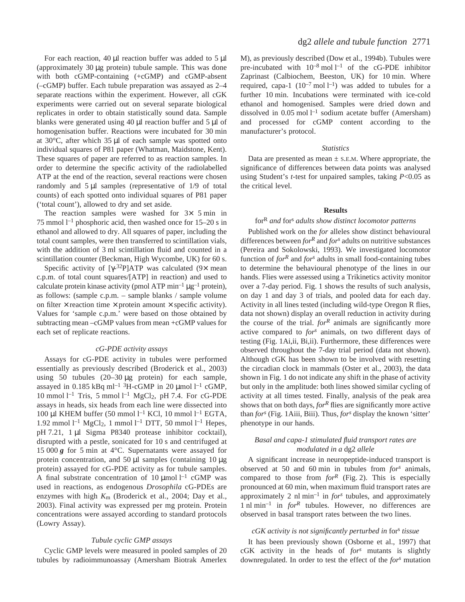For each reaction, 40  $\mu$ l reaction buffer was added to 5  $\mu$ l (approximately 30  $\mu$ g protein) tubule sample. This was done with both cGMP-containing (+cGMP) and cGMP-absent (–cGMP) buffer. Each tubule preparation was assayed as 2–4 separate reactions within the experiment. However, all cGK experiments were carried out on several separate biological replicates in order to obtain statistically sound data. Sample blanks were generated using  $40 \mu l$  reaction buffer and  $5 \mu l$  of homogenisation buffer. Reactions were incubated for 30 min at  $30^{\circ}$ C, after which  $35 \mu$ l of each sample was spotted onto individual squares of P81 paper (Whatman, Maidstone, Kent). These squares of paper are referred to as reaction samples. In order to determine the specific activity of the radiolabelled ATP at the end of the reaction, several reactions were chosen randomly and  $5 \mu l$  samples (representative of  $1/9$  of total counts) of each spotted onto individual squares of P81 paper ('total count'), allowed to dry and set aside.

The reaction samples were washed for  $3 \times 5$  min in 75 mmol<sup>1-1</sup> phosphoric acid, then washed once for  $15-20$  s in ethanol and allowed to dry. All squares of paper, including the total count samples, were then transferred to scintillation vials, with the addition of 3 ml scintillation fluid and counted in a scintillation counter (Beckman, High Wycombe, UK) for 60 s.

Specific activity of  $[\gamma$ -<sup>32</sup>P]ATP was calculated (9× mean c.p.m. of total count squares/[ATP] in reaction) and used to calculate protein kinase activity (pmol ATP  $min^{-1} \mu g^{-1}$  protein), as follows: (sample c.p.m. – sample blanks / sample volume on filter  $\times$  reaction time  $\times$  protein amount  $\times$  specific activity). Values for 'sample c.p.m.' were based on those obtained by subtracting mean –cGMP values from mean +cGMP values for each set of replicate reactions.

#### *cG-PDE activity assays*

Assays for cG-PDE activity in tubules were performed essentially as previously described (Broderick et al., 2003) using 50 tubules  $(20-30 \mu g)$  protein) for each sample, assayed in 0.185 kBq ml<sup>-1 3</sup>H-cGMP in 20 µmol l<sup>-1</sup> cGMP, 10 mmol<sup>1-1</sup> Tris, 5 mmol<sup>1-1</sup> MgCl<sub>2</sub>, pH 7.4. For cG-PDE assays in heads, six heads from each line were dissected into 100 µl KHEM buffer (50 mmol<sup>1-1</sup> KCl, 10 mmol<sup>1-1</sup> EGTA, 1.92 mmol  $l^{-1}$  MgCl<sub>2</sub>, 1 mmol  $l^{-1}$  DTT, 50 mmol  $l^{-1}$  Hepes, pH 7.21, 1 µl Sigma P8340 protease inhibitor cocktail), disrupted with a pestle, sonicated for 10 s and centrifuged at 15 000  $g$  for 5 min at 4°C. Supernatants were assayed for protein concentration, and 50  $\mu$ l samples (containing 10  $\mu$ g protein) assayed for cG-PDE activity as for tubule samples. A final substrate concentration of  $10 \mu$ mol l<sup>-1</sup> cGMP was used in reactions, as endogenous *Drosophila* cG-PDEs are enzymes with high *K*m (Broderick et al., 2004; Day et al., 2003). Final activity was expressed per mg protein. Protein concentrations were assayed according to standard protocols (Lowry Assay).

#### *Tubule cyclic GMP assays*

Cyclic GMP levels were measured in pooled samples of 20 tubules by radioimmunoassay (Amersham Biotrak Amerlex M), as previously described (Dow et al., 1994b). Tubules were pre-incubated with  $10^{-8}$  mol  $l^{-1}$  of the cG-PDE inhibitor Zaprinast (Calbiochem, Beeston, UK) for 10 min. Where required, capa-1  $(10^{-7} \text{ mol } l^{-1})$  was added to tubules for a further 10 min. Incubations were terminated with ice-cold ethanol and homogenised. Samples were dried down and dissolved in  $0.05$  mol  $l^{-1}$  sodium acetate buffer (Amersham) and processed for cGMP content according to the manufacturer's protocol.

#### *Statistics*

Data are presented as mean  $\pm$  s.e.m. Where appropriate, the significance of differences between data points was analysed using Student's *t*-test for unpaired samples, taking *P*<0.05 as the critical level.

#### **Results**

# forR *and* fors *adults show distinct locomotor patterns*

Published work on the *for* alleles show distinct behavioural differences between *for<sup>R</sup>* and *fors* adults on nutritive substances (Pereira and Sokolowski, 1993). We investigated locomotor function of  $for<sup>R</sup>$  and  $for<sup>s</sup>$  adults in small food-containing tubes to determine the behavioural phenotype of the lines in our hands. Flies were assessed using a Trikinetics activity monitor over a 7-day period. Fig. 1 shows the results of such analysis, on day 1 and day 3 of trials, and pooled data for each day. Activity in all lines tested (including wild-type Oregon R flies, data not shown) display an overall reduction in activity during the course of the trial.  $for<sup>R</sup>$  animals are significantly more active compared to *fors* animals, on two different days of testing (Fig. 1Ai,ii, Bi,ii). Furthermore, these differences were observed throughout the 7-day trial period (data not shown). Although cGK has been shown to be involved with resetting the circadian clock in mammals (Oster et al., 2003), the data shown in Fig. 1 do not indicate any shift in the phase of activity but only in the amplitude: both lines showed similar cycling of activity at all times tested. Finally, analysis of the peak area shows that on both days, *for*<sup>R</sup> flies are significantly more active than *for*<sup>s</sup> (Fig. 1Aiii, Biii). Thus, *for*<sup>s</sup> display the known 'sitter' phenotype in our hands.

# *Basal and capa-1 stimulated fluid transport rates are modulated in a* dg2 *allele*

A significant increase in neuropeptide-induced transport is observed at 50 and 60 min in tubules from *for*<sup>*s*</sup> animals, compared to those from  $for^R$  (Fig. 2). This is especially pronounced at 60 min, when maximum fluid transport rates are approximately 2 nl min<sup>-1</sup> in  $for<sup>s</sup>$  tubules, and approximately 1 nl min<sup>-1</sup> in *for*<sup>R</sup> tubules. However, no differences are observed in basal transport rates between the two lines.

#### *cGK activity is not significantly perturbed in* fors *tissue*

It has been previously shown (Osborne et al., 1997) that cGK activity in the heads of *fors* mutants is slightly downregulated. In order to test the effect of the *fors* mutation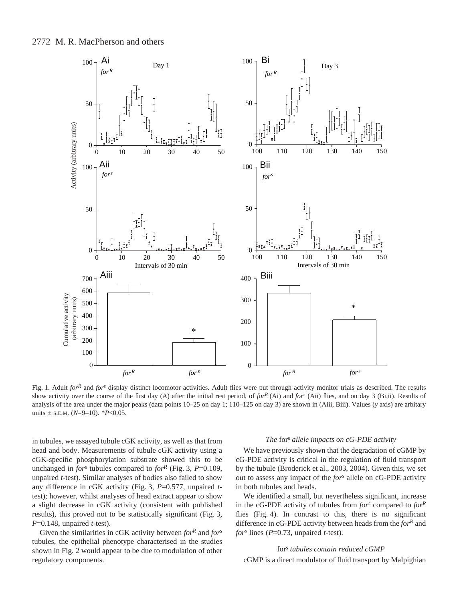



Fig. 1. Adult *for*<sup>*R*</sup> and *for<sup><i>s*</sup> display distinct locomotor activities. Adult flies were put through activity monitor trials as described. The results show activity over the course of the first day (A) after the initial rest period, of *forR* (Ai) and *fors* (Aii) flies, and on day 3 (Bi,ii). Results of analysis of the area under the major peaks (data points 10–25 on day 1; 110–125 on day 3) are shown in (Aiii, Biii). Values (*y* axis) are arbitary units  $\pm$  s.e.m. ( $N=9-10$ ). \* $P<0.05$ .

in tubules, we assayed tubule cGK activity, as well as that from head and body. Measurements of tubule cGK activity using a cGK-specific phosphorylation substrate showed this to be unchanged in *for*<sup>*s*</sup> tubules compared to *for*<sup>*R*</sup> (Fig. 3, *P*=0.109, unpaired *t*-test). Similar analyses of bodies also failed to show any difference in cGK activity (Fig. 3, *P*=0.577, unpaired *t*test); however, whilst analyses of head extract appear to show a slight decrease in cGK activity (consistent with published results), this proved not to be statistically significant (Fig. 3, *P*=0.148, unpaired *t*-test).

Given the similarities in cGK activity between *forR* and *fors* tubules, the epithelial phenotype characterised in the studies shown in Fig. 2 would appear to be due to modulation of other regulatory components.

#### *The* for<sup>s</sup> *allele impacts on cG-PDE activity*

We have previously shown that the degradation of cGMP by cG-PDE activity is critical in the regulation of fluid transport by the tubule (Broderick et al., 2003, 2004). Given this, we set out to assess any impact of the *fors* allele on cG-PDE activity in both tubules and heads.

We identified a small, but nevertheless significant, increase in the cG-PDE activity of tubules from *fors* compared to *forR* flies (Fig. 4). In contrast to this, there is no significant difference in cG-PDE activity between heads from the *forR* and *for<sup>s</sup>* lines (*P*=0.73, unpaired *t*-test).

# fors *tubules contain reduced cGMP*

cGMP is a direct modulator of fluid transport by Malpighian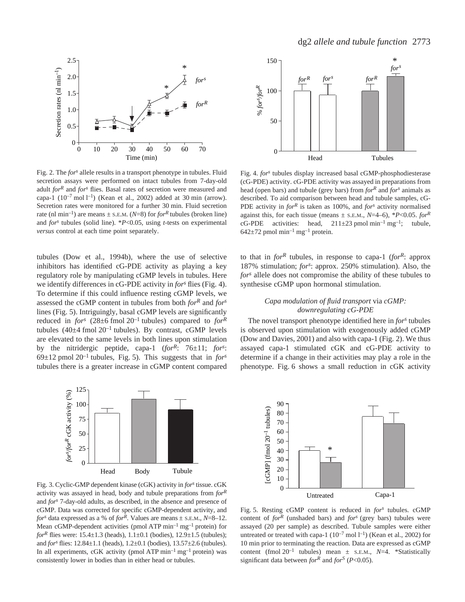

Fig. 2. The *for*<sup>s</sup> allele results in a transport phenotype in tubules. Fluid secretion assays were performed on intact tubules from 7-day-old adult *forR* and *fors* flies. Basal rates of secretion were measured and capa-1  $(10^{-7} \text{ mol } l^{-1})$  (Kean et al., 2002) added at 30 min (arrow). Secretion rates were monitored for a further 30 min. Fluid secretion rate (nl min<sup>-1</sup>) are means  $\pm$  s.e.m. (*N*=8) for *for*<sup>*R*</sup> tubules (broken line) and *for<sup>s</sup>* tubules (solid line). \**P*<0.05, using *t-*tests on experimental *versus* control at each time point separately.

tubules (Dow et al., 1994b), where the use of selective inhibitors has identified cG-PDE activity as playing a key regulatory role by manipulating cGMP levels in tubules. Here we identify differences in cG-PDE activity in *for*<sup>s</sup> flies (Fig. 4). To determine if this could influence resting cGMP levels, we assessed the cGMP content in tubules from both *forR* and *fors* lines (Fig. 5). Intriguingly, basal cGMP levels are significantly reduced in *for*<sup> $s$ </sup> (28 $\pm$ 6 fmol 20<sup>-1</sup> tubules) compared to *for*<sup>R</sup> tubules  $(40\pm4$  fmol  $20^{-1}$  tubules). By contrast, cGMP levels are elevated to the same levels in both lines upon stimulation by the nitridergic peptide, capa-1 (*forR*: 76±11; *fors* :  $69\pm12$  pmol  $20^{-1}$  tubules, Fig. 5). This suggests that in *for*<sup>s</sup> tubules there is a greater increase in cGMP content compared



Fig. 3. Cyclic-GMP dependent kinase (cGK) activity in *for*<sup>s</sup> tissue. cGK activity was assayed in head, body and tubule preparations from *forR* and *fors* 7-day-old adults, as described, in the absence and presence of cGMP. Data was corrected for specific cGMP-dependent activity, and *fors* data expressed as a % of *forR*. Values are means ± S.E.M., *N*=8–12. Mean cGMP-dependent activities (pmol ATP  $min^{-1}$  mg<sup>-1</sup> protein) for *for*<sup>R</sup> flies were:  $15.4 \pm 1.3$  (heads),  $1.1 \pm 0.1$  (bodies),  $12.9 \pm 1.5$  (tubules); and *fors* flies: 12.84±1.1 (heads), 1.2±0.1 (bodies), 13.57±2.6 (tubules). In all experiments, cGK activity (pmol ATP  $min^{-1} mg^{-1}$  protein) was consistently lower in bodies than in either head or tubules.



Fig. 4. *for*<sup>*s*</sup> tubules display increased basal cGMP-phosphodiesterase (cG-PDE) activity. cG-PDE activity was assayed in preparations from head (open bars) and tubule (grey bars) from *for<sup>R</sup>* and *fors* animals as described. To aid comparison between head and tubule samples, cG-PDE activity in *forR* is taken as 100%, and *fors* activity normalised against this, for each tissue (means  $\pm$  s.e.m.,  $N=4-6$ ),  $*P<0.05$ . *for*<sup>R</sup> cG-PDE activities: head,  $211\pm 23$  pmol min<sup>-1</sup> mg<sup>-1</sup>; tubule,  $642\pm72$  pmol min<sup>-1</sup> mg<sup>-1</sup> protein.

to that in  $for^R$  tubules, in response to capa-1 ( $for^R$ : approx 187% stimulation; *fors* : approx. 250% stimulation). Also, the *fors* allele does not compromise the ability of these tubules to synthesise cGMP upon hormonal stimulation.

# *Capa modulation of fluid transport* via *cGMP: downregulating cG-PDE*

The novel transport phenotype identified here in *fors* tubules is observed upon stimulation with exogenously added cGMP (Dow and Davies,  $2001$ ) and also with capa-1 (Fig. 2). We thus assayed capa-1 stimulated cGK and cG-PDE activity to determine if a change in their activities may play a role in the phenotype. Fig. 6 shows a small reduction in cGK activity



Fig. 5. Resting cGMP content is reduced in *for*<sup>s</sup> tubules. cGMP content of *for<sup>R</sup>* (unshaded bars) and *fors* (grey bars) tubules were assayed (20 per sample) as described. Tubule samples were either untreated or treated with capa-1  $(10^{-7} \text{ mol } l^{-1})$  (Kean et al., 2002) for 10 min prior to terminating the reaction. Data are expressed as cGMP content (fmol  $20^{-1}$  tubules) mean  $\pm$  s.e.m.,  $N=4$ . \*Statistically significant data between *for*<sup>R</sup> and *for*<sup>S</sup> (*P*<0.05).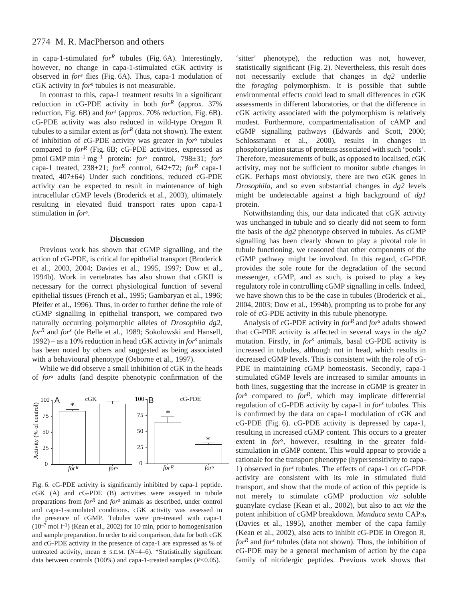in capa-1-stimulated  $for^R$  tubules (Fig. 6A). Interestingly, however, no change in capa-1-stimulated cGK activity is observed in *for*<sup>s</sup> flies (Fig. 6A). Thus, capa-1 modulation of cGK activity in *fors* tubules is not measurable.

In contrast to this, capa-1 treatment results in a significant reduction in cG-PDE activity in both *forR* (approx. 37% reduction, Fig. 6B) and *for*<sup>s</sup> (approx. 70% reduction, Fig. 6B). cG-PDE activity was also reduced in wild-type Oregon R tubules to a similar extent as  $for^R$  (data not shown). The extent of inhibition of cG-PDE activity was greater in *fors* tubules compared to *for*<sup>*R*</sup> (Fig. 6B; cG-PDE activities, expressed as pmol·GMP·min–1·mg–1 protein: *fors* control, 798±31; *fors* capa-1 treated,  $238\pm21$ ; *for*<sup>R</sup> control,  $642\pm72$ ; *for*<sup>R</sup> capa-1 treated, 407±64) Under such conditions, reduced cG-PDE activity can be expected to result in maintenance of high intracellular cGMP levels (Broderick et al., 2003), ultimately resulting in elevated fluid transport rates upon capa-1 stimulation in *fors* .

#### **Discussion**

Previous work has shown that cGMP signalling, and the action of cG-PDE, is critical for epithelial transport (Broderick et al., 2003, 2004; Davies et al., 1995, 1997; Dow et al., 1994b). Work in vertebrates has also shown that cGKII is necessary for the correct physiological function of several epithelial tissues (French et al., 1995; Gambaryan et al., 1996; Pfeifer et al., 1996). Thus, in order to further define the role of cGMP signalling in epithelial transport, we compared two naturally occurring polymorphic alleles of *Drosophila dg2*, *forR* and *fors* (de Belle et al., 1989; Sokolowski and Hansell, 1992) – as a 10% reduction in head cGK activity in *fors* animals has been noted by others and suggested as being associated with a behavioural phenotype (Osborne et al., 1997).

While we did observe a small inhibition of cGK in the heads of *fors* adults (and despite phenotypic confirmation of the



Fig. 6. cG-PDE activity is significantly inhibited by capa-1 peptide. cGK (A) and cG-PDE (B) activities were assayed in tubule preparations from *forR* and *fors* animals as described, under control and capa-1-stimulated conditions. cGK activity was assessed in the presence of cGMP. Tubules were pre-treated with capa-1  $(10^{-7} \text{ mol } l^{-1})$  (Kean et al., 2002) for 10 min, prior to homogenisation and sample preparation. In order to aid comparison, data for both cGK and cG-PDE activity in the presence of capa-1 are expressed as % of untreated activity, mean  $\pm$  s.e.m. (*N*=4–6). \*Statistically significant data between controls (100%) and capa-1-treated samples (*P*<0.05).

'sitter' phenotype), the reduction was not, however, statistically significant (Fig. 2). Nevertheless, this result does not necessarily exclude that changes in *dg2* underlie the *foraging* polymorphism. It is possible that subtle environmental effects could lead to small differences in cGK assessments in different laboratories, or that the difference in cGK activity associated with the polymorphism is relatively modest. Furthermore, compartmentalisation of cAMP and cGMP signalling pathways (Edwards and Scott, 2000; Schlossmann et al., 2000), results in changes in phosphorylation status of proteins associated with such 'pools'. Therefore, measurements of bulk, as opposed to localised, cGK activity, may not be sufficient to monitor subtle changes in cGK. Perhaps most obviously, there are two cGK genes in *Drosophila*, and so even substantial changes in *dg2* levels might be undetectable against a high background of *dg1* protein.

Notwithstanding this, our data indicated that cGK activity was unchanged in tubule and so clearly did not seem to form the basis of the *dg2* phenotype observed in tubules. As cGMP signalling has been clearly shown to play a pivotal role in tubule functioning, we reasoned that other components of the cGMP pathway might be involved. In this regard, cG-PDE provides the sole route for the degradation of the second messenger, cGMP, and as such, is poised to play a key regulatory role in controlling cGMP signalling in cells. Indeed, we have shown this to be the case in tubules (Broderick et al., 2004, 2003; Dow et al., 1994b), prompting us to probe for any role of cG-PDE activity in this tubule phenotype.

Analysis of cG-PDE activity in *for<sup>R</sup>* and *for<sup>s</sup>* adults showed that cG-PDE activity is affected in several ways in the *dg2* mutation. Firstly, in *for<sup>s</sup>* animals, basal cG-PDE activity is increased in tubules, although not in head, which results in decreased cGMP levels. This is consistent with the role of cG-PDE in maintaining cGMP homeostasis. Secondly, capa-1 stimulated cGMP levels are increased to similar amounts in both lines, suggesting that the increase in cGMP is greater in *for<sup>s</sup>* compared to *forR*, which may implicate differential regulation of cG-PDE activity by capa-1 in *for<sup>s</sup>* tubules. This is confirmed by the data on capa-1 modulation of cGK and  $cG-PDE$  (Fig. 6).  $cG-PDE$  activity is depressed by capa-1, resulting in increased cGMP content. This occurs to a greater extent in *for<sup>s</sup>* , however, resulting in the greater foldstimulation in cGMP content. This would appear to provide a rationale for the transport phenotype (hypersensitivity to capa-1) observed in *for<sup>s</sup>* tubules. The effects of capa-1 on cG-PDE activity are consistent with its role in stimulated fluid transport, and show that the mode of action of this peptide is not merely to stimulate cGMP production *via* soluble guanylate cyclase (Kean et al., 2002), but also to act *via* the potent inhibition of cGMP breakdown. *Manduca sexta* CAP2b (Davies et al., 1995), another member of the capa family (Kean et al., 2002), also acts to inhibit cG-PDE in Oregon R, *for<sup>R</sup>* and *for<sup>s</sup>* tubules (data not shown). Thus, the inhibition of cG-PDE may be a general mechanism of action by the capa family of nitridergic peptides. Previous work shows that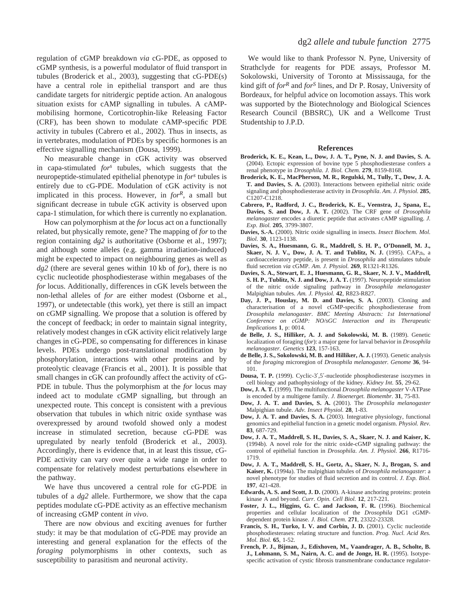regulation of cGMP breakdown *via* cG-PDE, as opposed to cGMP synthesis, is a powerful modulator of fluid transport in tubules (Broderick et al., 2003), suggesting that cG-PDE(s) have a central role in epithelial transport and are thus candidate targets for nitridergic peptide action. An analogous situation exists for cAMP signalling in tubules. A cAMPmobilising hormone, Corticotrophin-like Releasing Factor (CRF), has been shown to modulate cAMP-specific PDE activity in tubules (Cabrero et al., 2002). Thus in insects, as in vertebrates, modulation of PDEs by specific hormones is an effective signalling mechanism (Dousa, 1999).

No measurable change in cGK activity was observed in capa-stimulated *for<sup>s</sup>* tubules, which suggests that the neuropeptide-stimulated epithelial phenotype in *fors* tubules is entirely due to cG-PDE. Modulation of cGK activity is not implicated in this process. However, in *forR*, a small but significant decrease in tubule cGK activity is observed upon capa-1 stimulation, for which there is currently no explanation.

How can polymorphism at the *for* locus act on a functionally related, but physically remote, gene? The mapping of *for* to the region containing *dg2* is authoritative (Osborne et al., 1997); and although some alleles (e.g. gamma irradiation-induced) might be expected to impact on neighbouring genes as well as dg2 (there are several genes within 10 kb of *for*), there is no cyclic nucleotide phosphodiesterase within megabases of the *for* locus. Additionally, differences in cGK levels between the non-lethal alleles of *for* are either modest (Osborne et al., 1997), or undetectable (this work), yet there is still an impact on cGMP signalling. We propose that a solution is offered by the concept of feedback; in order to maintain signal integrity, relatively modest changes in cGK activity elicit relatively large changes in cG-PDE, so compensating for differences in kinase levels. PDEs undergo post-translational modification by phosphorylation, interactions with other proteins and by proteolytic cleavage (Francis et al., 2001). It is possible that small changes in cGK can profoundly affect the activity of cG-PDE in tubule. Thus the polymorphism at the *for* locus may indeed act to modulate cGMP signalling, but through an unexpected route. This concept is consistent with a previous observation that tubules in which nitric oxide synthase was overexpressed by around twofold showed only a modest increase in stimulated secretion, because cG-PDE was upregulated by nearly tenfold (Broderick et al., 2003). Accordingly, there is evidence that, in at least this tissue, cG-PDE activity can vary over quite a wide range in order to compensate for relatively modest perturbations elsewhere in the pathway.

We have thus uncovered a central role for cG-PDE in tubules of a *dg2* allele. Furthermore, we show that the capa peptides modulate cG-PDE activity as an effective mechanism of increasing cGMP content *in vivo*.

There are now obvious and exciting avenues for further study: it may be that modulation of cG-PDE may provide an interesting and general explanation for the effects of the *foraging* polymorphisms in other contexts, such as susceptibility to parasitism and neuronal activity.

We would like to thank Professor N. Pyne, University of Strathclyde for reagents for PDE assays, Professor M. Sokolowski, University of Toronto at Mississauga, for the kind gift of *forR* and *forS* lines, and Dr P. Rosay, University of Bordeaux, for helpful advice on locomotion assays. This work was supported by the Biotechnology and Biological Sciences Research Council (BBSRC), UK and a Wellcome Trust Studentship to J.P.D.

#### **References**

- **Broderick, K. E., Kean, L., Dow, J. A. T., Pyne, N. J. and Davies, S. A.** (2004). Ectopic expression of bovine type 5 phosphodiesterase confers a renal phenotype in *Drosophila*. *J. Biol. Chem.* **279**, 8159-8168.
- **Broderick, K. E., MacPherson, M. R., Regulski, M., Tully, T., Dow, J. A. T. and Davies, S. A.** (2003). Interactions between epithelial nitric oxide signaling and phosphodiesterase activity in *Drosophila*. *Am. J. Physiol.* **285**, C1207-C1218.
- **Cabrero, P., Radford, J. C., Broderick, K. E., Veenstra, J., Spana, E., Davies, S. and Dow, J. A. T.** (2002). The CRF gene of *Drosophila melanogaster* encodes a diuretic peptide that activates cAMP signalling. *J. Exp. Biol.* **205**, 3799-3807.
- **Davies, S.-A.** (2000). Nitric oxide signalling in insects. *Insect Biochem. Mol. Biol.* **30**, 1123-1138.
- **Davies, S. A., Huesmann, G. R., Maddrell, S. H. P., O'Donnell, M. J., Skaer, N. J. V., Dow, J. A. T. and Tublitz, N. J.** (1995). CAP<sub>2b</sub>, a cardioacceleratory peptide, is present in *Drosophila* and stimulates tubule fluid secretion *via* cGMP. *Am. J. Physiol.* **269**, R1321-R1326.
- **Davies, S. A., Stewart, E. J., Huesmann, G. R., Skaer, N. J. V., Maddrell, S. H. P., Tublitz, N. J. and Dow, J. A. T.** (1997). Neuropeptide stimulation of the nitric oxide signaling pathway in *Drosophila melanogaster* Malpighian tubules. *Am. J. Physiol.* **42**, R823-R827.
- **Day, J. P., Houslay, M. D. and Davies, S. A.** (2003). Cloning and characterisation of a novel cGMP-specific phosphodiesterase from *Drosophila melanogaster*. *BMC Meeting Abstracts: 1st International Conference on cGMP: NO/sGC Interaction and its Therapeutic Implications* **1**, p: 0014.
- **de Belle, J. S., Hilliker, A. J. and Sokolowski, M. B.** (1989). Genetic localization of foraging (*for*): a major gene for larval behavior in *Drosophila melanogaster*. *Genetics* **123**, 157-163.
- **de Belle, J. S., Sokolowski, M. B. and Hilliker, A. J.** (1993). Genetic analysis of the *foraging* microregion of *Drosophila melanogaster. Genome* **36**, 94- 101.
- **Dousa, T. P.** (1999). Cyclic-3′,5′-nucleotide phosphodiesterase isozymes in cell biology and pathophysiology of the kidney. *Kidney Int.* **55**, 29-62.
- **Dow, J. A. T.** (1999). The multifunctional *Drosophila melanogaster* V-ATPase is encoded by a multigene family. *J. Bioenerget. Biomembr.* **31**, 75-83.
- **Dow, J. A. T. and Davies, S. A.** (2001). The *Drosophila melanogaster* Malpighian tubule. *Adv. Insect Physiol.* **28**, 1-83.
- **Dow, J. A. T. and Davies, S. A.** (2003). Integrative physiology, functional genomics and epithelial function in a genetic model organism. *Physiol. Rev.* **83**, 687-729.
- **Dow, J. A. T., Maddrell, S. H., Davies, S. A., Skaer, N. J. and Kaiser, K.** (1994b). A novel role for the nitric oxide-cGMP signaling pathway: the control of epithelial function in *Drosophila*. *Am. J. Physiol.* **266**, R1716- 1719.
- **Dow, J. A. T., Maddrell, S. H., Gortz, A., Skaer, N. J., Brogan, S. and Kaiser, K.** (1994a). The malpighian tubules of *Drosophila melanogaster*: a novel phenotype for studies of fluid secretion and its control. *J. Exp. Biol.* **197**, 421-428.
- **Edwards, A. S. and Scott, J. D.** (2000). A-kinase anchoring proteins: protein kinase A and beyond. *Curr. Opin. Cell Biol.* **12**, 217-221.
- **Foster, J. L., Higgins, G. C. and Jackson, F. R.** (1996). Biochemical properties and cellular localization of the *Drosophila* DG1 cGMPdependent protein kinase. *J. Biol. Chem.* **271**, 23322-23328.
- **Francis, S. H., Turko, I. V. and Corbin, J. D.** (2001). Cyclic nucleotide phosphodiesterases: relating structure and function. *Prog. Nucl. Acid Res. Mol. Biol.* **65**, 1-52.
- **French, P. J., Bijman, J., Edixhoven, M., Vaandrager, A. B., Scholte, B. J., Lohmann, S. M., Nairn, A. C. and de Jonge, H. R.** (1995). Isotypespecific activation of cystic fibrosis transmembrane conductance regulator-